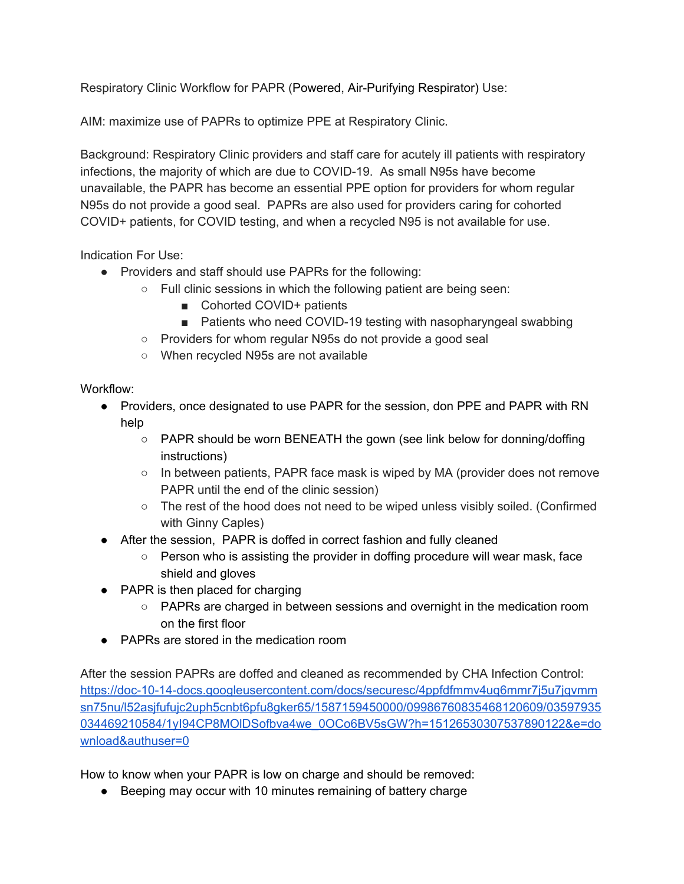Respiratory Clinic Workflow for PAPR (Powered, Air-Purifying Respirator) Use:

AIM: maximize use of PAPRs to optimize PPE at Respiratory Clinic.

Background: Respiratory Clinic providers and staff care for acutely ill patients with respiratory infections, the majority of which are due to COVID-19. As small N95s have become unavailable, the PAPR has become an essential PPE option for providers for whom regular N95s do not provide a good seal. PAPRs are also used for providers caring for cohorted COVID+ patients, for COVID testing, and when a recycled N95 is not available for use.

Indication For Use:

- Providers and staff should use PAPRs for the following:
	- Full clinic sessions in which the following patient are being seen:
		- Cohorted COVID+ patients
		- Patients who need COVID-19 testing with nasopharyngeal swabbing
	- Providers for whom regular N95s do not provide a good seal
	- When recycled N95s are not available

Workflow:

- Providers, once designated to use PAPR for the session, don PPE and PAPR with RN help
	- PAPR should be worn BENEATH the gown (see link below for donning/doffing instructions)
	- $\circ$  In between patients, PAPR face mask is wiped by MA (provider does not remove PAPR until the end of the clinic session)
	- The rest of the hood does not need to be wiped unless visibly soiled. (Confirmed with Ginny Caples)
- After the session, PAPR is doffed in correct fashion and fully cleaned
	- $\circ$  Person who is assisting the provider in doffing procedure will wear mask, face shield and gloves
- PAPR is then placed for charging
	- PAPRs are charged in between sessions and overnight in the medication room on the first floor
- PAPRs are stored in the medication room

After the session PAPRs are doffed and cleaned as recommended by CHA Infection Control: [https://doc-10-14-docs.googleusercontent.com/docs/securesc/4ppfdfmmv4uq6mmr7j5u7jqvmm](https://doc-10-14-docs.googleusercontent.com/docs/securesc/4ppfdfmmv4uq6mmr7j5u7jqvmmsn75nu/l52asjfufujc2uph5cnbt6pfu8gker65/1587159450000/09986760835468120609/03597935034469210584/1yI94CP8MOlDSofbva4we_0OCo6BV5sGW?h=15126530307537890122&e=download&authuser=0) [sn75nu/l52asjfufujc2uph5cnbt6pfu8gker65/1587159450000/09986760835468120609/03597935](https://doc-10-14-docs.googleusercontent.com/docs/securesc/4ppfdfmmv4uq6mmr7j5u7jqvmmsn75nu/l52asjfufujc2uph5cnbt6pfu8gker65/1587159450000/09986760835468120609/03597935034469210584/1yI94CP8MOlDSofbva4we_0OCo6BV5sGW?h=15126530307537890122&e=download&authuser=0) [034469210584/1yI94CP8MOlDSofbva4we\\_0OCo6BV5sGW?h=15126530307537890122&e=do](https://doc-10-14-docs.googleusercontent.com/docs/securesc/4ppfdfmmv4uq6mmr7j5u7jqvmmsn75nu/l52asjfufujc2uph5cnbt6pfu8gker65/1587159450000/09986760835468120609/03597935034469210584/1yI94CP8MOlDSofbva4we_0OCo6BV5sGW?h=15126530307537890122&e=download&authuser=0) [wnload&authuser=0](https://doc-10-14-docs.googleusercontent.com/docs/securesc/4ppfdfmmv4uq6mmr7j5u7jqvmmsn75nu/l52asjfufujc2uph5cnbt6pfu8gker65/1587159450000/09986760835468120609/03597935034469210584/1yI94CP8MOlDSofbva4we_0OCo6BV5sGW?h=15126530307537890122&e=download&authuser=0)

How to know when your PAPR is low on charge and should be removed:

● Beeping may occur with 10 minutes remaining of battery charge